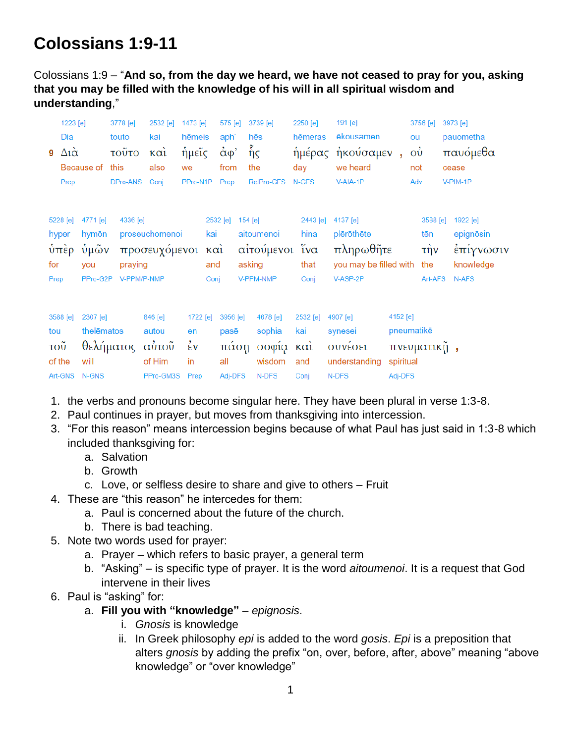# **Colossians 1:9-11**

Colossians 1:9 – "**And so, from the day we heard, we have not ceased to pray for you, asking that you may be filled with the knowledge of his will in all spiritual wisdom and understanding**,"

| 1223 [e]<br>Dia<br>Δια̇<br>9<br>Prep                | Because of                                   | 3778 [e]<br>touto<br>τοῦτο<br>this<br>DPro-ANS | 2532 [e]<br>kai<br>$k\alpha i$<br>also<br>Coni | 1473 [e]<br>hēmeis<br>ήμεῖς<br>we<br>PPro-N1P      | 575 [e]<br>aph'<br>$\alpha$ φ'<br>from<br>Prep | 3739 [e]<br>hēs<br>$\tilde{\mathfrak{h}}_{\mathsf{S}}$<br>the<br>RelPro-GFS | 2250 [e]<br>hēmeras<br>day<br>N-GFS                        | 191 [e]<br>ēkousamen<br>ήμέρας ἠκούσαμεν<br>we heard<br>V-AIA-1P          | ou<br>$\dot{\rm o}$<br>$\mathbf{r}$<br>not<br>Adv | 3756 [e]                                     | 3973 [e]<br>pauometha<br>παυόμεθα<br>cease<br>V-PIM-1P   |
|-----------------------------------------------------|----------------------------------------------|------------------------------------------------|------------------------------------------------|----------------------------------------------------|------------------------------------------------|-----------------------------------------------------------------------------|------------------------------------------------------------|---------------------------------------------------------------------------|---------------------------------------------------|----------------------------------------------|----------------------------------------------------------|
| 5228 [e]<br>hyper<br>$\dot{\nu}$ περ<br>for<br>Prep | 4771 [e]<br>hymōn<br>ὑμῶν<br>you<br>PPro-G2P | 4336 [e]<br>praying<br>V-PPM/P-NMP             | proseuchomenoi<br>προσευχόμενοι                | kai<br>and<br>Conj                                 | 2532 [e]<br>καὶ                                | 154 [e]<br>aitoumenoi<br>αιτούμενοι<br>asking<br>V-PPM-NMP                  | 2443 [e]<br>hina<br>$\tilde{i} \nu \alpha$<br>that<br>Conj | 4137 [e]<br>plērōthēte<br>πληρωθῆτε<br>you may be filled with<br>V-ASP-2P |                                                   | 3588 [e]<br>tēn<br>$τ\)$ ν<br>the<br>Art-AFS | 1922 [e]<br>epignōsin<br>έπίγνωσιν<br>knowledge<br>N-AFS |
| 3588 [e]<br>tou<br>τοῦ<br>of the<br>Art-GNS         | 2307 [e]<br>thelēmatos<br>will<br>N-GNS      | θελήματος αύτοῦ                                | 846 [e]<br>autou<br>of Him<br>PPro-GM3S        | 1722 [e]<br>en<br>$\dot{\epsilon}$ v<br>in<br>Prep | 3956 [e]<br>pasē<br>πάση<br>all<br>Adj-DFS     | 4678 [e]<br>sophia<br>σοφία και<br>wisdom<br>N-DFS                          | 2532 [e]<br>kai<br>and<br>Conj                             | 4907 [e]<br>synesei<br>συνέσει<br>understanding<br>N-DFS                  | 4152 [e]<br>pneumatikē<br>spiritual<br>Adj-DFS    | πνευματικῆ,                                  |                                                          |

- 1. the verbs and pronouns become singular here. They have been plural in verse 1:3-8.
- 2. Paul continues in prayer, but moves from thanksgiving into intercession.
- 3. "For this reason" means intercession begins because of what Paul has just said in 1:3-8 which included thanksgiving for:
	- a. Salvation
	- b. Growth
	- c. Love, or selfless desire to share and give to others Fruit
- 4. These are "this reason" he intercedes for them:
	- a. Paul is concerned about the future of the church.
	- b. There is bad teaching.
- 5. Note two words used for prayer:
	- a. Prayer which refers to basic prayer, a general term
	- b. "Asking" is specific type of prayer. It is the word *aitoumenoi*. It is a request that God intervene in their lives
- 6. Paul is "asking" for:
	- a. **Fill you with "knowledge"** *epignosis*.
		- i. *Gnosis* is knowledge
		- ii. In Greek philosophy *epi* is added to the word *gosis*. *Epi* is a preposition that alters *gnosis* by adding the prefix "on, over, before, after, above" meaning "above knowledge" or "over knowledge"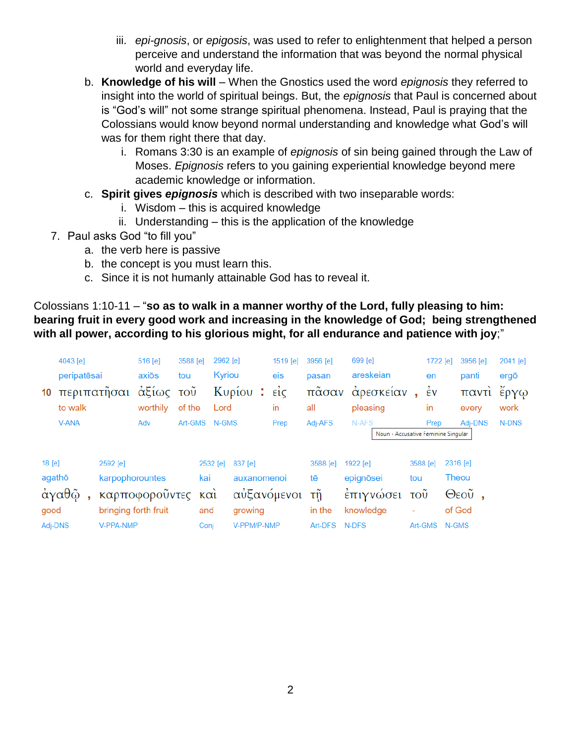- iii. *epi-gnosis*, or *epigosis*, was used to refer to enlightenment that helped a person perceive and understand the information that was beyond the normal physical world and everyday life.
- b. **Knowledge of his will** When the Gnostics used the word *epignosis* they referred to insight into the world of spiritual beings. But, the *epignosis* that Paul is concerned about is "God's will" not some strange spiritual phenomena. Instead, Paul is praying that the Colossians would know beyond normal understanding and knowledge what God's will was for them right there that day.
	- i. Romans 3:30 is an example of *epignosis* of sin being gained through the Law of Moses. *Epignosis* refers to you gaining experiential knowledge beyond mere academic knowledge or information.
- c. **Spirit gives** *epignosis* which is described with two inseparable words:
	- i. Wisdom this is acquired knowledge
	- ii. Understanding this is the application of the knowledge
- 7. Paul asks God "to fill you"
	- a. the verb here is passive
	- b. the concept is you must learn this.
	- c. Since it is not humanly attainable God has to reveal it.

## Colossians 1:10-11 – "**so as to walk in a manner worthy of the Lord, fully pleasing to him: bearing fruit in every good work and increasing in the knowledge of God; being strengthened with all power, according to his glorious might, for all endurance and patience with joy**;"

| 10              | 4043 [e]<br>peripatēsai<br>περιπατῆσαι<br>to walk |                                   | 516 [e]<br>axiōs<br>αξίως<br>worthily | 3588 [e]<br>tou<br>$\overline{\mathrm{TOU}}$<br>of the | 2962 [e]<br>Kyriou<br>Lord | Κυρίου:                    | 1519 [e]<br>eis<br>$\vec{\epsilon}$ ic<br>in | 3956 [e]<br>pasan<br>πᾶσαν<br>all | 699 [e]<br>areskeian<br>άρεσκείαν<br>pleasing |                                  | 1722 [e]<br>en<br>$\frac{1}{2}v$<br>in | 3956 [e]<br>panti<br>παντί<br>every | 2041 [e]<br>ergō<br>έργω<br>work |
|-----------------|---------------------------------------------------|-----------------------------------|---------------------------------------|--------------------------------------------------------|----------------------------|----------------------------|----------------------------------------------|-----------------------------------|-----------------------------------------------|----------------------------------|----------------------------------------|-------------------------------------|----------------------------------|
|                 | <b>V-ANA</b>                                      |                                   | Adv                                   | Art-GMS                                                | N-GMS                      |                            | Prep                                         | Adj-AFS                           | N-AFS<br>Noun - Accusative Feminine Singular  |                                  | Prep                                   | Adj-DNS                             | N-DNS                            |
| 18 [e]          |                                                   | 2592 [e]                          |                                       |                                                        | 2532 [e]                   | 837 [e]                    |                                              | 3588 [e]                          | 1922 [e]                                      | 3588 [e]                         |                                        | 2316 [e]                            |                                  |
| agathō          | άγαθῷ                                             | karpophorountes                   | καρποφοροῦντες                        |                                                        | kai<br>$k\alpha i$         | auxanomenoi<br>αυξανόμενοι |                                              | tē<br>τñ                          | epignösei<br>έπιγνώσει                        | tou<br>$\overline{\mathrm{TOU}}$ |                                        | Theou<br>$\Theta$ εοῦ,              |                                  |
| good<br>Adj-DNS |                                                   | bringing forth fruit<br>V-PPA-NMP |                                       |                                                        | and<br>Conj                | growing<br>V-PPM/P-NMP     |                                              | in the<br>Art-DFS                 | knowledge<br>N-DFS                            | ٠<br>Art-GMS                     |                                        | of God<br>N-GMS                     |                                  |
|                 |                                                   |                                   |                                       |                                                        |                            |                            |                                              |                                   |                                               |                                  |                                        |                                     |                                  |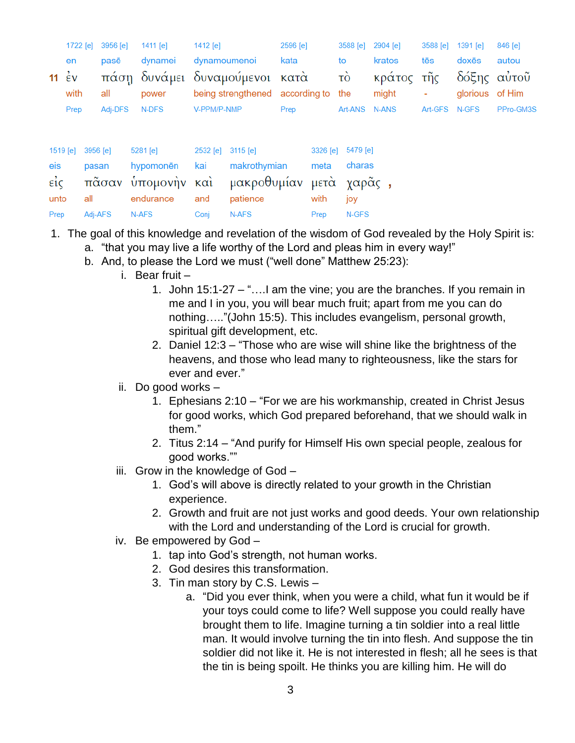|          | 1722 [e]                             |          | 3956 [e] | 1411 [e]                                | 1412 [e]          |                                     | 2596 [e] |          | 3588 [e]              | 2904 [e]            | 3588 [e]      | 1391 [e]                       | 846 [e]   |
|----------|--------------------------------------|----------|----------|-----------------------------------------|-------------------|-------------------------------------|----------|----------|-----------------------|---------------------|---------------|--------------------------------|-----------|
|          | en                                   |          | pasē     | dynamei                                 | dynamoumenoi      |                                     | kata     |          | to                    | kratos              | tēs           | doxēs                          | autou     |
|          | 11 $\stackrel{?}{\epsilon}v$<br>with |          | all      | πάση δυνάμει δυναμούμενοι κατά<br>power |                   | being strengthened according to the |          |          | $\overrightarrow{co}$ | κράτος τῆς<br>might | ٠             | δόξης αυτοῦ<br>glorious of Him |           |
|          | Prep                                 |          | Adj-DFS  | N-DFS                                   | V-PPM/P-NMP       |                                     | Prep     |          | Art-ANS               | N-ANS               | Art-GFS N-GFS |                                | PPro-GM3S |
|          |                                      |          |          |                                         |                   |                                     |          |          |                       |                     |               |                                |           |
| 1519 [e] |                                      | 3956 [e] |          | 5281 [e]                                | 2532 [e] 3115 [e] |                                     |          | 3326 [e] | 5479 [e]              |                     |               |                                |           |
| eis      |                                      | pasan    |          | hypomonēn                               | kai               | makrothymian                        |          | meta     | charas                |                     |               |                                |           |
| $ε$ ίς   |                                      |          |          | πᾶσαν ὑπομονὴν καὶ                      |                   | μακροθυμίαν μετά χαρᾶς,             |          |          |                       |                     |               |                                |           |
| unto     |                                      | all      |          | endurance                               | and               | patience                            |          | with     | joy                   |                     |               |                                |           |
| Prep     |                                      | Adj-AFS  |          | N-AFS                                   | Conj              | N-AFS                               |          | Prep     | N-GFS                 |                     |               |                                |           |

- 1. The goal of this knowledge and revelation of the wisdom of God revealed by the Holy Spirit is:
	- a. "that you may live a life worthy of the Lord and pleas him in every way!"
	- b. And, to please the Lord we must ("well done" Matthew 25:23):
		- i. Bear fruit
			- 1. John 15:1-27 "….I am the vine; you are the branches. If you remain in me and I in you, you will bear much fruit; apart from me you can do nothing….."(John 15:5). This includes evangelism, personal growth, spiritual gift development, etc.
			- 2. Daniel 12:3 "Those who are wise will shine like the brightness of the heavens, and those who lead many to righteousness, like the stars for ever and ever."
		- ii. Do good works
			- 1. Ephesians 2:10 "For we are his workmanship, created in Christ Jesus for good works, which God prepared beforehand, that we should walk in them."
			- 2. Titus 2:14 "And purify for Himself His own special people, zealous for good works.""
		- iii. Grow in the knowledge of God
			- 1. God's will above is directly related to your growth in the Christian experience.
			- 2. Growth and fruit are not just works and good deeds. Your own relationship with the Lord and understanding of the Lord is crucial for growth.
		- iv. Be empowered by God
			- 1. tap into God's strength, not human works.
			- 2. God desires this transformation.
			- 3. Tin man story by C.S. Lewis
				- a. "Did you ever think, when you were a child, what fun it would be if your toys could come to life? Well suppose you could really have brought them to life. Imagine turning a tin soldier into a real little man. It would involve turning the tin into flesh. And suppose the tin soldier did not like it. He is not interested in flesh; all he sees is that the tin is being spoilt. He thinks you are killing him. He will do